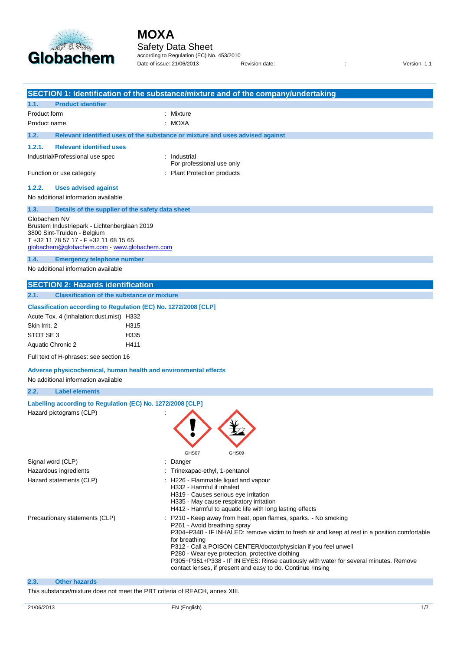

## Safety Data Sheet

according to Regulation (EC) No. 453/2010 Date of issue: 21/06/2013 Revision date: <br>
Revision date:  $\frac{1}{1}$  Revision date:

|                                                                                                                                                                                                                                    | SECTION 1: Identification of the substance/mixture and of the company/undertaking                                                                                                                                                                                                                                                                                                                                                                                                            |
|------------------------------------------------------------------------------------------------------------------------------------------------------------------------------------------------------------------------------------|----------------------------------------------------------------------------------------------------------------------------------------------------------------------------------------------------------------------------------------------------------------------------------------------------------------------------------------------------------------------------------------------------------------------------------------------------------------------------------------------|
| 1.1.<br><b>Product identifier</b>                                                                                                                                                                                                  |                                                                                                                                                                                                                                                                                                                                                                                                                                                                                              |
| Product form                                                                                                                                                                                                                       | : Mixture                                                                                                                                                                                                                                                                                                                                                                                                                                                                                    |
| Product name.                                                                                                                                                                                                                      | : MOXA                                                                                                                                                                                                                                                                                                                                                                                                                                                                                       |
| 1.2.                                                                                                                                                                                                                               | Relevant identified uses of the substance or mixture and uses advised against                                                                                                                                                                                                                                                                                                                                                                                                                |
| <b>Relevant identified uses</b><br>1.2.1.                                                                                                                                                                                          |                                                                                                                                                                                                                                                                                                                                                                                                                                                                                              |
| Industrial/Professional use spec                                                                                                                                                                                                   | : Industrial<br>For professional use only                                                                                                                                                                                                                                                                                                                                                                                                                                                    |
| Function or use category                                                                                                                                                                                                           | : Plant Protection products                                                                                                                                                                                                                                                                                                                                                                                                                                                                  |
| 1.2.2.<br><b>Uses advised against</b>                                                                                                                                                                                              |                                                                                                                                                                                                                                                                                                                                                                                                                                                                                              |
| No additional information available                                                                                                                                                                                                |                                                                                                                                                                                                                                                                                                                                                                                                                                                                                              |
| 1.3.<br>Details of the supplier of the safety data sheet                                                                                                                                                                           |                                                                                                                                                                                                                                                                                                                                                                                                                                                                                              |
| Globachem NV<br>Brustem Industriepark - Lichtenberglaan 2019<br>3800 Sint-Truiden - Belgium<br>T +32 11 78 57 17 - F +32 11 68 15 65<br>globachem@globachem.com - www.globachem.com                                                |                                                                                                                                                                                                                                                                                                                                                                                                                                                                                              |
| 1.4.<br><b>Emergency telephone number</b><br>No additional information available                                                                                                                                                   |                                                                                                                                                                                                                                                                                                                                                                                                                                                                                              |
| <b>SECTION 2: Hazards identification</b>                                                                                                                                                                                           |                                                                                                                                                                                                                                                                                                                                                                                                                                                                                              |
| 2.1.<br><b>Classification of the substance or mixture</b>                                                                                                                                                                          |                                                                                                                                                                                                                                                                                                                                                                                                                                                                                              |
| Classification according to Regulation (EC) No. 1272/2008 [CLP]<br>Acute Tox. 4 (Inhalation: dust, mist) H332<br>Skin Irrit. 2<br>H315<br>STOT SE 3<br>H335<br>Aquatic Chronic 2<br>H411<br>Full text of H-phrases: see section 16 |                                                                                                                                                                                                                                                                                                                                                                                                                                                                                              |
| Adverse physicochemical, human health and environmental effects                                                                                                                                                                    |                                                                                                                                                                                                                                                                                                                                                                                                                                                                                              |
| No additional information available                                                                                                                                                                                                |                                                                                                                                                                                                                                                                                                                                                                                                                                                                                              |
| 2.2.<br><b>Label elements</b>                                                                                                                                                                                                      |                                                                                                                                                                                                                                                                                                                                                                                                                                                                                              |
| Labelling according to Regulation (EC) No. 1272/2008 [CLP]<br>Hazard pictograms (CLP)                                                                                                                                              | GHS07<br>GHS09                                                                                                                                                                                                                                                                                                                                                                                                                                                                               |
| Signal word (CLP)                                                                                                                                                                                                                  | : Danger                                                                                                                                                                                                                                                                                                                                                                                                                                                                                     |
| Hazardous ingredients<br>Hazard statements (CLP)                                                                                                                                                                                   | : Trinexapac-ethyl, 1-pentanol<br>: H226 - Flammable liquid and vapour<br>H332 - Harmful if inhaled<br>H319 - Causes serious eye irritation<br>H335 - May cause respiratory irritation<br>H412 - Harmful to aquatic life with long lasting effects                                                                                                                                                                                                                                           |
| Precautionary statements (CLP)                                                                                                                                                                                                     | P210 - Keep away from heat, open flames, sparks. - No smoking<br>P261 - Avoid breathing spray<br>P304+P340 - IF INHALED: remove victim to fresh air and keep at rest in a position comfortable<br>for breathing<br>P312 - Call a POISON CENTER/doctor/physician if you feel unwell<br>P280 - Wear eye protection, protective clothing<br>P305+P351+P338 - IF IN EYES: Rinse cautiously with water for several minutes. Remove<br>contact lenses, if present and easy to do. Continue rinsing |
| 2.3.<br><b>Other hazards</b>                                                                                                                                                                                                       |                                                                                                                                                                                                                                                                                                                                                                                                                                                                                              |
| This substance/mixture does not meet the PBT criteria of REACH, annex XIII.                                                                                                                                                        |                                                                                                                                                                                                                                                                                                                                                                                                                                                                                              |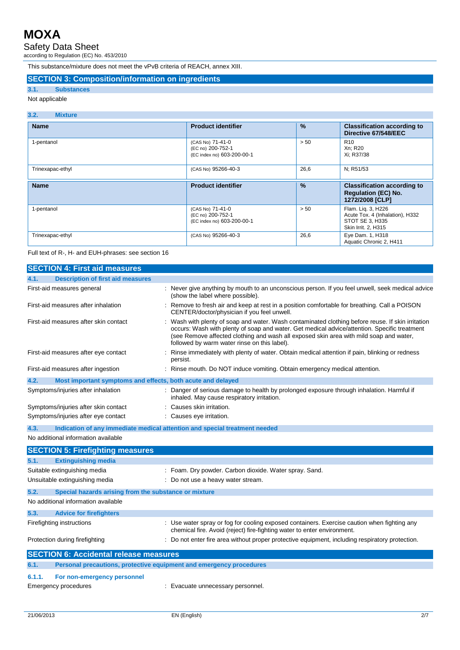Safety Data Sheet

according to Regulation (EC) No. 453/2010

This substance/mixture does not meet the vPvB criteria of REACH, annex XIII.

## **SECTION 3: Composition/information on ingredients**

### **3.1. Substances** Not applicable

## **3.2. Mixture**

| <b>Name</b>      | <b>Product identifier</b>                                           | $\frac{9}{6}$ | <b>Classification according to</b><br>Directive 67/548/EEC                                      |
|------------------|---------------------------------------------------------------------|---------------|-------------------------------------------------------------------------------------------------|
| 1-pentanol       | (CAS No) 71-41-0<br>(EC no) 200-752-1<br>(EC index no) 603-200-00-1 | > 50          | R <sub>10</sub><br>Xn; R20<br>Xi; R37/38                                                        |
| Trinexapac-ethyl | (CAS No) 95266-40-3                                                 | 26,6          | N; R51/53                                                                                       |
| <b>Name</b>      | <b>Product identifier</b>                                           | $\frac{9}{6}$ | <b>Classification according to</b><br><b>Regulation (EC) No.</b><br>1272/2008 [CLP]             |
| 1-pentanol       | (CAS No) 71-41-0<br>(EC no) 200-752-1<br>(EC index no) 603-200-00-1 | > 50          | Flam. Lig. 3, H226<br>Acute Tox. 4 (Inhalation), H332<br>STOT SE 3. H335<br>Skin Irrit. 2, H315 |
| Trinexapac-ethyl | (CAS No) 95266-40-3                                                 | 26,6          | Eye Dam. 1, H318<br>Aquatic Chronic 2, H411                                                     |

Full text of R-, H- and EUH-phrases: see section 16

|        | <b>SECTION 4: First aid measures</b>                                       |                                                                                                                                                                                                                                                                                                                                           |
|--------|----------------------------------------------------------------------------|-------------------------------------------------------------------------------------------------------------------------------------------------------------------------------------------------------------------------------------------------------------------------------------------------------------------------------------------|
| 4.1.   | <b>Description of first aid measures</b>                                   |                                                                                                                                                                                                                                                                                                                                           |
|        | First-aid measures general                                                 | Never give anything by mouth to an unconscious person. If you feel unwell, seek medical advice<br>(show the label where possible).                                                                                                                                                                                                        |
|        | First-aid measures after inhalation                                        | Remove to fresh air and keep at rest in a position comfortable for breathing. Call a POISON<br>CENTER/doctor/physician if you feel unwell.                                                                                                                                                                                                |
|        | First-aid measures after skin contact                                      | Wash with plenty of soap and water. Wash contaminated clothing before reuse. If skin irritation<br>occurs: Wash with plenty of soap and water. Get medical advice/attention. Specific treatment<br>(see Remove affected clothing and wash all exposed skin area with mild soap and water,<br>followed by warm water rinse on this label). |
|        | First-aid measures after eye contact                                       | Rinse immediately with plenty of water. Obtain medical attention if pain, blinking or redness<br>persist.                                                                                                                                                                                                                                 |
|        | First-aid measures after ingestion                                         | Rinse mouth. Do NOT induce vomiting. Obtain emergency medical attention.                                                                                                                                                                                                                                                                  |
| 4.2.   | Most important symptoms and effects, both acute and delayed                |                                                                                                                                                                                                                                                                                                                                           |
|        | Symptoms/injuries after inhalation                                         | Danger of serious damage to health by prolonged exposure through inhalation. Harmful if<br>inhaled. May cause respiratory irritation.                                                                                                                                                                                                     |
|        | Symptoms/injuries after skin contact                                       | Causes skin irritation.                                                                                                                                                                                                                                                                                                                   |
|        | Symptoms/injuries after eye contact                                        | Causes eye irritation.                                                                                                                                                                                                                                                                                                                    |
| 4.3.   | Indication of any immediate medical attention and special treatment needed |                                                                                                                                                                                                                                                                                                                                           |
|        | No additional information available                                        |                                                                                                                                                                                                                                                                                                                                           |
|        | <b>SECTION 5: Firefighting measures</b>                                    |                                                                                                                                                                                                                                                                                                                                           |
| 5.1.   | <b>Extinguishing media</b>                                                 |                                                                                                                                                                                                                                                                                                                                           |
|        | Suitable extinguishing media                                               | : Foam. Dry powder. Carbon dioxide. Water spray. Sand.                                                                                                                                                                                                                                                                                    |
|        | Unsuitable extinguishing media                                             | Do not use a heavy water stream.                                                                                                                                                                                                                                                                                                          |
| 5.2.   | Special hazards arising from the substance or mixture                      |                                                                                                                                                                                                                                                                                                                                           |
|        | No additional information available                                        |                                                                                                                                                                                                                                                                                                                                           |
| 5.3.   | <b>Advice for firefighters</b>                                             |                                                                                                                                                                                                                                                                                                                                           |
|        | Firefighting instructions                                                  | : Use water spray or fog for cooling exposed containers. Exercise caution when fighting any<br>chemical fire. Avoid (reject) fire-fighting water to enter environment.                                                                                                                                                                    |
|        | Protection during firefighting                                             | Do not enter fire area without proper protective equipment, including respiratory protection.                                                                                                                                                                                                                                             |
|        | <b>SECTION 6: Accidental release measures</b>                              |                                                                                                                                                                                                                                                                                                                                           |
| 6.1.   | Personal precautions, protective equipment and emergency procedures        |                                                                                                                                                                                                                                                                                                                                           |
| 6.1.1. | For non-emergency personnel                                                |                                                                                                                                                                                                                                                                                                                                           |
|        | Emergency procedures                                                       | : Evacuate unnecessary personnel.                                                                                                                                                                                                                                                                                                         |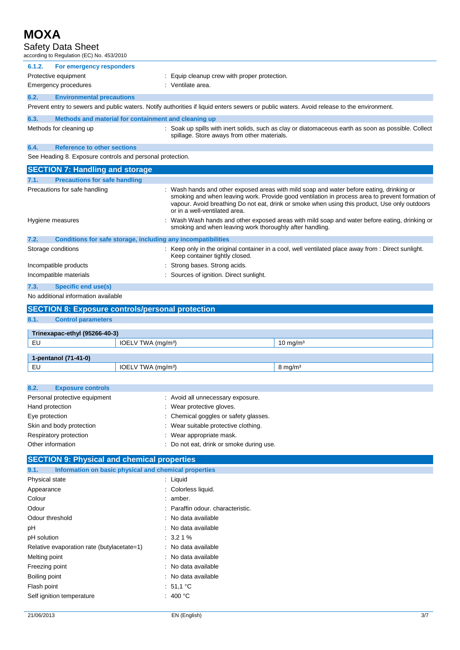| MOXA                                                                        |                                                                                                                                                                                                                                                                                                                               |
|-----------------------------------------------------------------------------|-------------------------------------------------------------------------------------------------------------------------------------------------------------------------------------------------------------------------------------------------------------------------------------------------------------------------------|
| Safety Data Sheet                                                           |                                                                                                                                                                                                                                                                                                                               |
| according to Regulation (EC) No. 453/2010                                   |                                                                                                                                                                                                                                                                                                                               |
| For emergency responders<br>6.1.2.                                          |                                                                                                                                                                                                                                                                                                                               |
| Protective equipment                                                        | Equip cleanup crew with proper protection.                                                                                                                                                                                                                                                                                    |
| <b>Emergency procedures</b>                                                 | Ventilate area.                                                                                                                                                                                                                                                                                                               |
| 6.2.<br><b>Environmental precautions</b>                                    |                                                                                                                                                                                                                                                                                                                               |
|                                                                             | Prevent entry to sewers and public waters. Notify authorities if liquid enters sewers or public waters. Avoid release to the environment.                                                                                                                                                                                     |
| 6.3.<br>Methods and material for containment and cleaning up                |                                                                                                                                                                                                                                                                                                                               |
| Methods for cleaning up                                                     | : Soak up spills with inert solids, such as clay or diatomaceous earth as soon as possible. Collect<br>spillage. Store aways from other materials.                                                                                                                                                                            |
| <b>Reference to other sections</b><br>6.4.                                  |                                                                                                                                                                                                                                                                                                                               |
| See Heading 8. Exposure controls and personal protection.                   |                                                                                                                                                                                                                                                                                                                               |
| <b>SECTION 7: Handling and storage</b>                                      |                                                                                                                                                                                                                                                                                                                               |
| <b>Precautions for safe handling</b><br>7.1.                                |                                                                                                                                                                                                                                                                                                                               |
| Precautions for safe handling                                               | : Wash hands and other exposed areas with mild soap and water before eating, drinking or<br>smoking and when leaving work. Provide good ventilation in process area to prevent formation of<br>vapour. Avoid breathing Do not eat, drink or smoke when using this product, Use only outdoors<br>or in a well-ventilated area. |
| Hygiene measures                                                            | Wash Wash hands and other exposed areas with mild soap and water before eating, drinking or<br>smoking and when leaving work thoroughly after handling.                                                                                                                                                                       |
| 7.2.<br><b>Conditions for safe storage, including any incompatibilities</b> |                                                                                                                                                                                                                                                                                                                               |
| Storage conditions                                                          | : Keep only in the original container in a cool, well ventilated place away from : Direct sunlight.<br>Keep container tightly closed.                                                                                                                                                                                         |
| Incompatible products                                                       | Strong bases. Strong acids.                                                                                                                                                                                                                                                                                                   |
| Incompatible materials                                                      | Sources of ignition. Direct sunlight.                                                                                                                                                                                                                                                                                         |
| <b>Specific end use(s)</b><br>7.3.                                          |                                                                                                                                                                                                                                                                                                                               |
| No additional information available                                         |                                                                                                                                                                                                                                                                                                                               |

### **SECTION 8: Exposure controls/personal protection**

| 8.1. | <b>Control parameters</b>     |                                |                     |
|------|-------------------------------|--------------------------------|---------------------|
|      |                               |                                |                     |
|      | Trinexapac-ethyl (95266-40-3) |                                |                     |
| EU   |                               | IOELV TWA (mg/m <sup>3</sup> ) | $10 \text{ mg/m}^3$ |
|      |                               |                                |                     |
|      | 1-pentanol (71-41-0)          |                                |                     |
| EU   |                               | IOELV TWA (mg/m <sup>3</sup> ) | $8 \text{ mg/m}^3$  |
|      |                               |                                |                     |

| 8.2.<br><b>Exposure controls</b> |                                          |
|----------------------------------|------------------------------------------|
| Personal protective equipment    | : Avoid all unnecessary exposure.        |
| Hand protection                  | : Wear protective gloves.                |
| Eye protection                   | : Chemical goggles or safety glasses.    |
| Skin and body protection         | : Wear suitable protective clothing.     |
| Respiratory protection           | : Wear appropriate mask.                 |
| Other information                | : Do not eat, drink or smoke during use. |
|                                  |                                          |

### **SECTION 9: Physical and chemical properties 9.1. Information on basic physical and chemical properties** Physical state : Liquid Appearance : Colorless liquid. Colour : amber. Odour : Paraffin odour. characteristic. Odour threshold **in the set of the set of the set of the set of the set of the set of the set of the set of the set of the set of the set of the set of the set of the set of the set of the set of the set of the set of the** pH : No data available pH solution : 3,2 1 % Relative evaporation rate (butylacetate=1) : No data available Melting point **in the case of the case of the case of the case of the case of the case of the case of the case of the case of the case of the case of the case of the case of the case of the case of the case of the case of** Freezing point **in the case of the case of the case of the case of the case of the case of the case of the case of the case of the case of the case of the case of the case of the case of the case of the case of the case of** Boiling point **in the case of the case of the case of the case of the case of the case of the case of the case of the case of the case of the case of the case of the case of the case of the case of the case of the case of** Flash point : 51,1 °C Self ignition temperature : 400 °C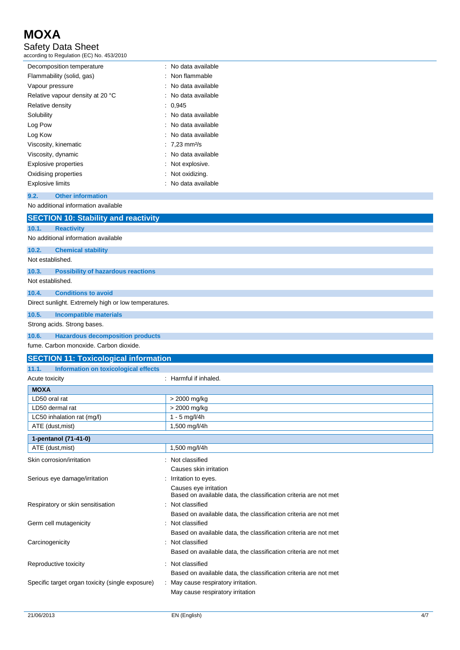## Safety Data Sheet

according to Regulation (EC) No. 453/2010

| Decomposition temperature        | : No data available       |
|----------------------------------|---------------------------|
| Flammability (solid, gas)        | : Non flammable           |
| Vapour pressure                  | : No data available       |
| Relative vapour density at 20 °C | : No data available       |
| Relative density                 | : 0.945                   |
| Solubility                       | : No data available       |
| Log Pow                          | : No data available       |
| Log Kow                          | : No data available       |
| Viscosity, kinematic             | : 7,23 mm <sup>2</sup> /s |
| Viscosity, dynamic               | : No data available       |
| <b>Explosive properties</b>      | : Not explosive.          |
| Oxidising properties             | : Not oxidizing.          |
| <b>Explosive limits</b>          | : No data available       |
|                                  |                           |

### **9.2. Other information**

No additional information available

|                  | <b>SECTION 10: Stability and reactivity</b>          |
|------------------|------------------------------------------------------|
| 10.1.            | <b>Reactivity</b>                                    |
|                  | No additional information available                  |
| 10.2.            | <b>Chemical stability</b>                            |
| Not established. |                                                      |
| 10.3.            | <b>Possibility of hazardous reactions</b>            |
| Not established. |                                                      |
| 10.4.            | <b>Conditions to avoid</b>                           |
|                  | Direct sunlight. Extremely high or low temperatures. |
| 10.5.            | Incompatible materials                               |
|                  | Strong acids. Strong bases.                          |
| ADC              | Hoperdaug decemberation products                     |

### **10.6. Hazardous decomposition production**

fume. Carbon monoxide. Carbon dioxide.

| <b>SECTION 11: Toxicological information</b>     |                                                                                           |  |
|--------------------------------------------------|-------------------------------------------------------------------------------------------|--|
| 11.1.<br>Information on toxicological effects    |                                                                                           |  |
| Acute toxicity                                   | Harmful if inhaled.                                                                       |  |
| <b>MOXA</b>                                      |                                                                                           |  |
| LD50 oral rat                                    | > 2000 mg/kg                                                                              |  |
| LD50 dermal rat                                  | > 2000 mg/kg                                                                              |  |
| LC50 inhalation rat (mg/l)                       | $1 - 5$ mg/l/4h                                                                           |  |
| ATE (dust, mist)                                 | 1,500 mg/l/4h                                                                             |  |
| 1-pentanol (71-41-0)                             |                                                                                           |  |
| ATE (dust, mist)                                 | 1,500 mg/l/4h                                                                             |  |
| Skin corrosion/irritation                        | Not classified                                                                            |  |
|                                                  | Causes skin irritation                                                                    |  |
| Serious eye damage/irritation                    | Irritation to eyes.                                                                       |  |
|                                                  | Causes eye irritation<br>Based on available data, the classification criteria are not met |  |
| Respiratory or skin sensitisation                | Not classified                                                                            |  |
|                                                  | Based on available data, the classification criteria are not met                          |  |
| Germ cell mutagenicity                           | Not classified                                                                            |  |
|                                                  | Based on available data, the classification criteria are not met                          |  |
| Carcinogenicity                                  | Not classified                                                                            |  |
|                                                  | Based on available data, the classification criteria are not met                          |  |
| Reproductive toxicity                            | Not classified                                                                            |  |
|                                                  | Based on available data, the classification criteria are not met                          |  |
| Specific target organ toxicity (single exposure) | May cause respiratory irritation.                                                         |  |
|                                                  | May cause respiratory irritation                                                          |  |
|                                                  |                                                                                           |  |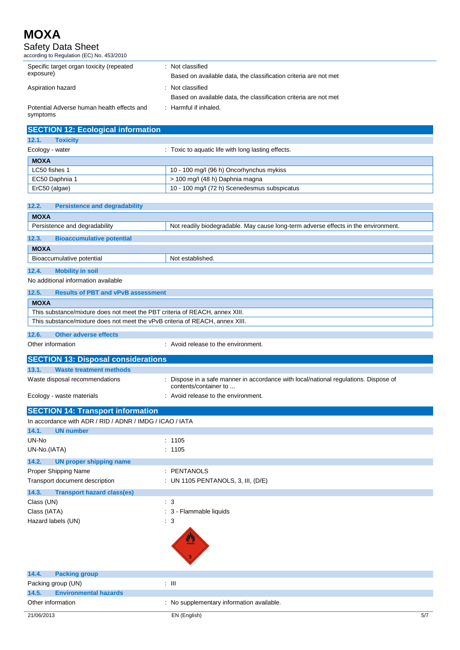Safety Data Sheet

| according to Regulation (EC) No. 453/2010 |  |
|-------------------------------------------|--|
|-------------------------------------------|--|

| Specific target organ toxicity (repeated<br>exposure)  | Not classified<br>Based on available data, the classification criteria are not met   |
|--------------------------------------------------------|--------------------------------------------------------------------------------------|
| Aspiration hazard                                      | : Not classified<br>Based on available data, the classification criteria are not met |
| Potential Adverse human health effects and<br>symptoms | $\therefore$ Harmful if inhaled.                                                     |

| <b>SECTION 12: Ecological information</b> |                                                    |
|-------------------------------------------|----------------------------------------------------|
| 12.1.<br><b>Toxicity</b>                  |                                                    |
| Ecology - water                           | : Toxic to aquatic life with long lasting effects. |
| <b>MOXA</b>                               |                                                    |
| LC50 fishes 1                             | 10 - 100 mg/l (96 h) Oncorhynchus mykiss           |
| EC50 Daphnia 1                            | > 100 mg/l (48 h) Daphnia magna                    |
| ErC50 (algae)                             | 10 - 100 mg/l (72 h) Scenedesmus subspicatus       |

| 12.2.<br><b>Persistence and degradability</b>                                |                                                                                                             |
|------------------------------------------------------------------------------|-------------------------------------------------------------------------------------------------------------|
| <b>MOXA</b>                                                                  |                                                                                                             |
| Persistence and degradability                                                | Not readily biodegradable. May cause long-term adverse effects in the environment.                          |
| 12.3.<br><b>Bioaccumulative potential</b>                                    |                                                                                                             |
| <b>MOXA</b>                                                                  |                                                                                                             |
| Bioaccumulative potential                                                    | Not established.                                                                                            |
| 12.4.<br><b>Mobility in soil</b>                                             |                                                                                                             |
| No additional information available                                          |                                                                                                             |
| 12.5.<br><b>Results of PBT and vPvB assessment</b>                           |                                                                                                             |
| <b>MOXA</b>                                                                  |                                                                                                             |
| This substance/mixture does not meet the PBT criteria of REACH, annex XIII.  |                                                                                                             |
| This substance/mixture does not meet the vPvB criteria of REACH, annex XIII. |                                                                                                             |
| 12.6.<br><b>Other adverse effects</b>                                        |                                                                                                             |
| Other information                                                            | : Avoid release to the environment.                                                                         |
|                                                                              |                                                                                                             |
| <b>SECTION 13: Disposal considerations</b>                                   |                                                                                                             |
| <b>Waste treatment methods</b><br>13.1.                                      |                                                                                                             |
| Waste disposal recommendations                                               | Dispose in a safe manner in accordance with local/national regulations. Dispose of<br>contents/container to |
| Ecology - waste materials                                                    | Avoid release to the environment.                                                                           |
| <b>SECTION 14: Transport information</b>                                     |                                                                                                             |
| In accordance with ADR / RID / ADNR / IMDG / ICAO / IATA                     |                                                                                                             |
| 14.1.<br><b>UN number</b>                                                    |                                                                                                             |
| UN-No                                                                        | : 1105                                                                                                      |
| UN-No.(IATA)                                                                 | : 1105                                                                                                      |
| 14.2.<br><b>UN proper shipping name</b>                                      |                                                                                                             |
| Proper Shipping Name                                                         | : PENTANOLS                                                                                                 |
| Transport document description                                               | : UN 1105 PENTANOLS, 3, III, (D/E)                                                                          |
| 14.3.<br><b>Transport hazard class(es)</b>                                   |                                                                                                             |
| Class (UN)                                                                   | $\therefore$ 3                                                                                              |
| Class (IATA)                                                                 | : 3 - Flammable liquids                                                                                     |
| Hazard labels (UN)                                                           | $\therefore$ 3                                                                                              |
|                                                                              | $\overline{\mathbf{3}}$                                                                                     |
| <b>Packing group</b><br>14.4.                                                |                                                                                                             |
| Packing group (UN)                                                           | $\lesssim 10$                                                                                               |
| 14.5.<br><b>Environmental hazards</b>                                        |                                                                                                             |
| Other information                                                            | : No supplementary information available.                                                                   |
| 21/06/2013                                                                   | EN (English)<br>5/7                                                                                         |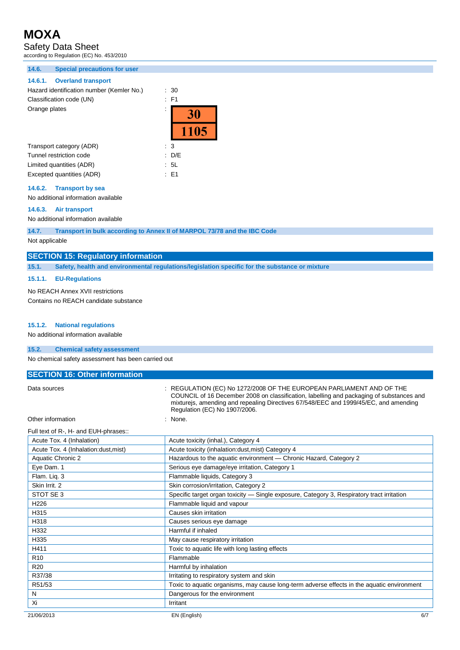Safety Data Sheet

according to Regulation (EC) No. 453/2010

### **14.6. Special precautions for user**

### **14.6.1. Overland transport**

Hazard identification number (Kemler No.) : 30 Classification code (UN) : F1 Orange plates :

| Orange plates            | ٠    |
|--------------------------|------|
|                          | 1105 |
| Transport category (ADR) | : 3  |
| Tunnel restriction code  | D/E  |

Limited quantities (ADR) : 5L Excepted quantities (ADR) : E1

### **14.6.2. Transport by sea**

No additional information available

### **14.6.3. Air transport**

No additional information available

**14.7. Transport in bulk according to Annex II of MARPOL 73/78 and the IBC Code**

Not applicable

### **SECTION 15: Regulatory information**

**15.1. Safety, health and environmental regulations/legislation specific for the substance or mixture**

### **15.1.1. EU-Regulations**

No REACH Annex XVII restrictions

Contains no REACH candidate substance

### **15.1.2. National regulations**

No additional information available

### **15.2. Chemical safety assessment**

No chemical safety assessment has been carried out

| <b>SECTION 16: Other information</b> |                                                                                                                                                                                                                                                                                           |
|--------------------------------------|-------------------------------------------------------------------------------------------------------------------------------------------------------------------------------------------------------------------------------------------------------------------------------------------|
| Data sources                         | : REGULATION (EC) No 1272/2008 OF THE EUROPEAN PARLIAMENT AND OF THE<br>COUNCIL of 16 December 2008 on classification, labelling and packaging of substances and<br>mixturejs, amending and repealing Directives 67/548/EEC and 1999/45/EC, and amending<br>Regulation (EC) No 1907/2006. |
| Other information                    | : None.                                                                                                                                                                                                                                                                                   |

Full text of R-, H- and EUH-phrases::

| Acute Tox. 4 (Inhalation)            | Acute toxicity (inhal.), Category 4                                                        |
|--------------------------------------|--------------------------------------------------------------------------------------------|
| Acute Tox. 4 (Inhalation:dust, mist) | Acute toxicity (inhalation:dust, mist) Category 4                                          |
| Aquatic Chronic 2                    | Hazardous to the aquatic environment - Chronic Hazard, Category 2                          |
| Eye Dam. 1                           | Serious eye damage/eye irritation, Category 1                                              |
| Flam. Liq. 3                         | Flammable liquids, Category 3                                                              |
| Skin Irrit, 2                        | Skin corrosion/irritation, Category 2                                                      |
| STOT SE 3                            | Specific target organ toxicity - Single exposure, Category 3, Respiratory tract irritation |
| H <sub>226</sub>                     | Flammable liquid and vapour                                                                |
| H315                                 | Causes skin irritation                                                                     |
| H318                                 | Causes serious eye damage                                                                  |
| H332                                 | Harmful if inhaled                                                                         |
| H335                                 | May cause respiratory irritation                                                           |
| H411                                 | Toxic to aquatic life with long lasting effects                                            |
| R <sub>10</sub>                      | Flammable                                                                                  |
| R <sub>20</sub>                      | Harmful by inhalation                                                                      |
| R37/38                               | Irritating to respiratory system and skin                                                  |
| R51/53                               | Toxic to aquatic organisms, may cause long-term adverse effects in the aquatic environment |
| N                                    | Dangerous for the environment                                                              |
| Xi                                   | Irritant                                                                                   |
| 21/06/2013                           | 6/7<br>EN (English)                                                                        |
|                                      |                                                                                            |